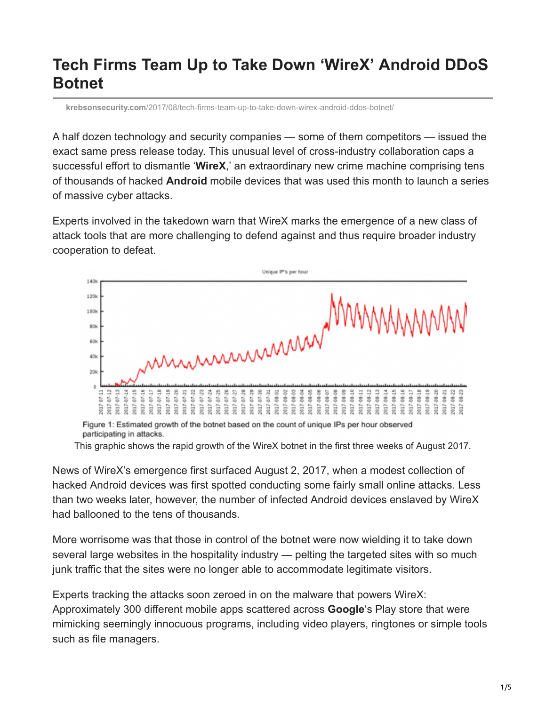## **Tech Firms Team Up to Take Down 'WireX' Android DDoS Botnet**

**krebsonsecurity.com**[/2017/08/tech-firms-team-up-to-take-down-wirex-android-ddos-botnet/](https://krebsonsecurity.com/2017/08/tech-firms-team-up-to-take-down-wirex-android-ddos-botnet/)

A half dozen technology and security companies — some of them competitors — issued the exact same press release today. This unusual level of cross-industry collaboration caps a successful effort to dismantle '**WireX**,' an extraordinary new crime machine comprising tens of thousands of hacked **Android** mobile devices that was used this month to launch a series of massive cyber attacks.

Experts involved in the takedown warn that WireX marks the emergence of a new class of attack tools that are more challenging to defend against and thus require broader industry cooperation to defeat.



Figure 1: Estimated growth of the botnet based on the count of unique IPs per hour observed participating in attacks.

This graphic shows the rapid growth of the WireX botnet in the first three weeks of August 2017.

News of WireX's emergence first surfaced August 2, 2017, when a modest collection of hacked Android devices was first spotted conducting some fairly small online attacks. Less than two weeks later, however, the number of infected Android devices enslaved by WireX had ballooned to the tens of thousands.

More worrisome was that those in control of the botnet were now wielding it to take down several large websites in the hospitality industry — pelting the targeted sites with so much junk traffic that the sites were no longer able to accommodate legitimate visitors.

Experts tracking the attacks soon zeroed in on the malware that powers WireX: Approximately 300 different mobile apps scattered across **Google**'s [Play store](https://play.google.com/store?hl=en) that were mimicking seemingly innocuous programs, including video players, ringtones or simple tools such as file managers.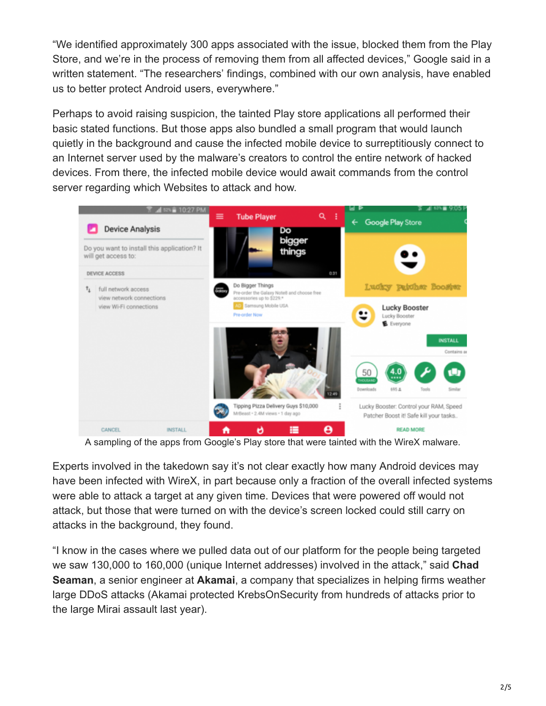"We identified approximately 300 apps associated with the issue, blocked them from the Play Store, and we're in the process of removing them from all affected devices," Google said in a written statement. "The researchers' findings, combined with our own analysis, have enabled us to better protect Android users, everywhere."

Perhaps to avoid raising suspicion, the tainted Play store applications all performed their basic stated functions. But those apps also bundled a small program that would launch quietly in the background and cause the infected mobile device to surreptitiously connect to an Internet server used by the malware's creators to control the entire network of hacked devices. From there, the infected mobile device would await commands from the control server regarding which Websites to attack and how.



A sampling of the apps from Google's Play store that were tainted with the WireX malware.

Experts involved in the takedown say it's not clear exactly how many Android devices may have been infected with WireX, in part because only a fraction of the overall infected systems were able to attack a target at any given time. Devices that were powered off would not attack, but those that were turned on with the device's screen locked could still carry on attacks in the background, they found.

"I know in the cases where we pulled data out of our platform for the people being targeted we saw 130,000 to 160,000 (unique Internet addresses) involved in the attack," said **Chad Seaman**, a senior engineer at **Akamai**, a company that specializes in helping firms weather large DDoS attacks (Akamai protected KrebsOnSecurity from hundreds of attacks prior to the large Mirai assault last year).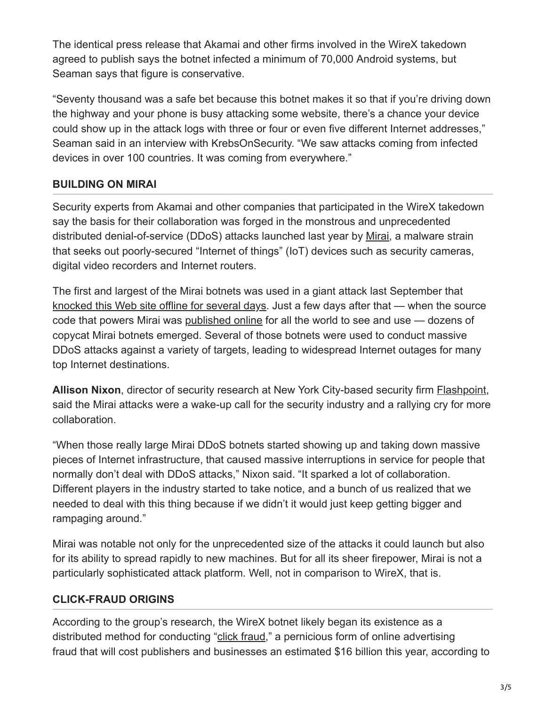The identical press release that Akamai and other firms involved in the WireX takedown agreed to publish says the botnet infected a minimum of 70,000 Android systems, but Seaman says that figure is conservative.

"Seventy thousand was a safe bet because this botnet makes it so that if you're driving down the highway and your phone is busy attacking some website, there's a chance your device could show up in the attack logs with three or four or even five different Internet addresses," Seaman said in an interview with KrebsOnSecurity. "We saw attacks coming from infected devices in over 100 countries. It was coming from everywhere."

## **BUILDING ON MIRAI**

Security experts from Akamai and other companies that participated in the WireX takedown say the basis for their collaboration was forged in the monstrous and unprecedented distributed denial-of-service (DDoS) attacks launched last year by [Mirai](https://krebsonsecurity.com/?s=mirai&x=0&y=0), a malware strain that seeks out poorly-secured "Internet of things" (IoT) devices such as security cameras, digital video recorders and Internet routers.

The first and largest of the Mirai botnets was used in a giant attack last September that [knocked this Web site offline for several days](https://krebsonsecurity.com/2016/09/the-democratization-of-censorship/). Just a few days after that — when the source code that powers Mirai was [published online](https://krebsonsecurity.com/2016/10/source-code-for-iot-botnet-mirai-released/) for all the world to see and use — dozens of copycat Mirai botnets emerged. Several of those botnets were used to conduct massive DDoS attacks against a variety of targets, leading to widespread Internet outages for many top Internet destinations.

**Allison Nixon**, director of security research at New York City-based security firm [Flashpoint](https://www.flashpoint-intel.com/), said the Mirai attacks were a wake-up call for the security industry and a rallying cry for more collaboration.

"When those really large Mirai DDoS botnets started showing up and taking down massive pieces of Internet infrastructure, that caused massive interruptions in service for people that normally don't deal with DDoS attacks," Nixon said. "It sparked a lot of collaboration. Different players in the industry started to take notice, and a bunch of us realized that we needed to deal with this thing because if we didn't it would just keep getting bigger and rampaging around."

Mirai was notable not only for the unprecedented size of the attacks it could launch but also for its ability to spread rapidly to new machines. But for all its sheer firepower, Mirai is not a particularly sophisticated attack platform. Well, not in comparison to WireX, that is.

## **CLICK-FRAUD ORIGINS**

According to the group's research, the WireX botnet likely began its existence as a distributed method for conducting "[click fraud,](https://en.wikipedia.org/wiki/Click_fraud)" a pernicious form of online advertising fraud that will cost publishers and businesses an estimated \$16 billion this year, according to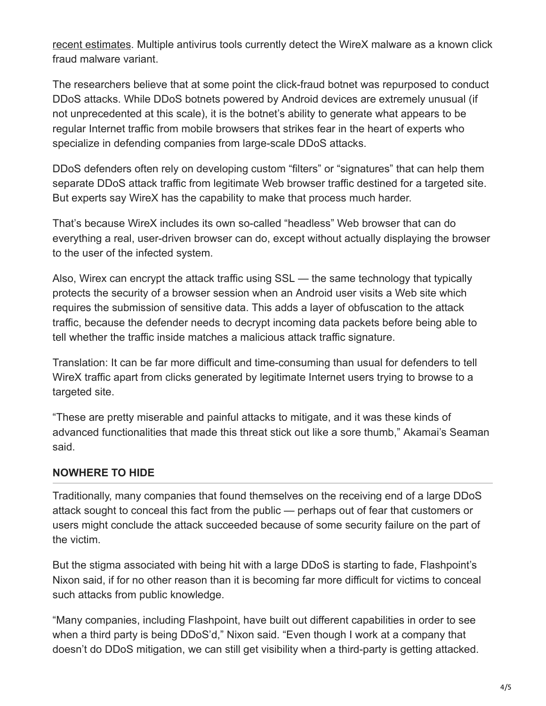[recent estimates](https://www.cnbc.com/2017/03/15/businesses-could-lose-164-billion-to-online-advert-fraud-in-2017.html). Multiple antivirus tools currently detect the WireX malware as a known click fraud malware variant.

The researchers believe that at some point the click-fraud botnet was repurposed to conduct DDoS attacks. While DDoS botnets powered by Android devices are extremely unusual (if not unprecedented at this scale), it is the botnet's ability to generate what appears to be regular Internet traffic from mobile browsers that strikes fear in the heart of experts who specialize in defending companies from large-scale DDoS attacks.

DDoS defenders often rely on developing custom "filters" or "signatures" that can help them separate DDoS attack traffic from legitimate Web browser traffic destined for a targeted site. But experts say WireX has the capability to make that process much harder.

That's because WireX includes its own so-called "headless" Web browser that can do everything a real, user-driven browser can do, except without actually displaying the browser to the user of the infected system.

Also, Wirex can encrypt the attack traffic using SSL — the same technology that typically protects the security of a browser session when an Android user visits a Web site which requires the submission of sensitive data. This adds a layer of obfuscation to the attack traffic, because the defender needs to decrypt incoming data packets before being able to tell whether the traffic inside matches a malicious attack traffic signature.

Translation: It can be far more difficult and time-consuming than usual for defenders to tell WireX traffic apart from clicks generated by legitimate Internet users trying to browse to a targeted site.

"These are pretty miserable and painful attacks to mitigate, and it was these kinds of advanced functionalities that made this threat stick out like a sore thumb," Akamai's Seaman said.

## **NOWHERE TO HIDE**

Traditionally, many companies that found themselves on the receiving end of a large DDoS attack sought to conceal this fact from the public — perhaps out of fear that customers or users might conclude the attack succeeded because of some security failure on the part of the victim.

But the stigma associated with being hit with a large DDoS is starting to fade, Flashpoint's Nixon said, if for no other reason than it is becoming far more difficult for victims to conceal such attacks from public knowledge.

"Many companies, including Flashpoint, have built out different capabilities in order to see when a third party is being DDoS'd," Nixon said. "Even though I work at a company that doesn't do DDoS mitigation, we can still get visibility when a third-party is getting attacked.